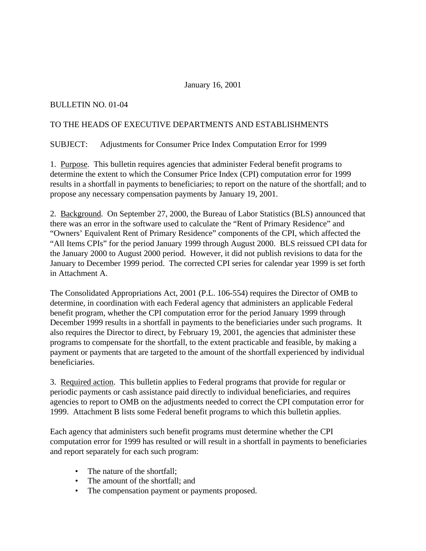### January 16, 2001

## BULLETIN NO. 01-04

#### TO THE HEADS OF EXECUTIVE DEPARTMENTS AND ESTABLISHMENTS

### SUBJECT: Adjustments for Consumer Price Index Computation Error for 1999

1. Purpose.This bulletin requires agencies that administer Federal benefit programs to determine the extent to which the Consumer Price Index (CPI) computation error for 1999 results in a shortfall in payments to beneficiaries; to report on the nature of the shortfall; and to propose any necessary compensation payments by January 19, 2001.

2. Background. On September 27, 2000, the Bureau of Labor Statistics (BLS) announced that there was an error in the software used to calculate the "Rent of Primary Residence" and "Owners' Equivalent Rent of Primary Residence" components of the CPI, which affected the "All Items CPIs" for the period January 1999 through August 2000. BLS reissued CPI data for the January 2000 to August 2000 period. However, it did not publish revisions to data for the January to December 1999 period. The corrected CPI series for calendar year 1999 is set forth in Attachment A.

The Consolidated Appropriations Act, 2001 (P.L. 106-554) requires the Director of OMB to determine, in coordination with each Federal agency that administers an applicable Federal benefit program, whether the CPI computation error for the period January 1999 through December 1999 results in a shortfall in payments to the beneficiaries under such programs. It also requires the Director to direct, by February 19, 2001, the agencies that administer these programs to compensate for the shortfall, to the extent practicable and feasible, by making a payment or payments that are targeted to the amount of the shortfall experienced by individual beneficiaries.

3. Required action. This bulletin applies to Federal programs that provide for regular or periodic payments or cash assistance paid directly to individual beneficiaries, and requires agencies to report to OMB on the adjustments needed to correct the CPI computation error for 1999. Attachment B lists some Federal benefit programs to which this bulletin applies.

Each agency that administers such benefit programs must determine whether the CPI computation error for 1999 has resulted or will result in a shortfall in payments to beneficiaries and report separately for each such program:

- The nature of the shortfall;
- The amount of the shortfall; and
- The compensation payment or payments proposed.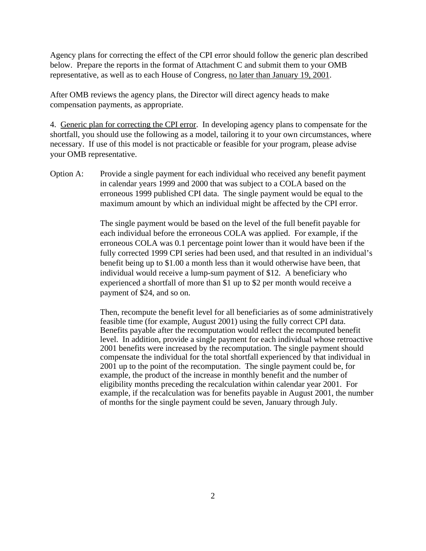Agency plans for correcting the effect of the CPI error should follow the generic plan described below. Prepare the reports in the format of Attachment C and submit them to your OMB representative, as well as to each House of Congress, no later than January 19, 2001.

After OMB reviews the agency plans, the Director will direct agency heads to make compensation payments, as appropriate.

4. Generic plan for correcting the CPI error. In developing agency plans to compensate for the shortfall, you should use the following as a model, tailoring it to your own circumstances, where necessary. If use of this model is not practicable or feasible for your program, please advise your OMB representative.

Option A: Provide a single payment for each individual who received any benefit payment in calendar years 1999 and 2000 that was subject to a COLA based on the erroneous 1999 published CPI data. The single payment would be equal to the maximum amount by which an individual might be affected by the CPI error.

> The single payment would be based on the level of the full benefit payable for each individual before the erroneous COLA was applied. For example, if the erroneous COLA was 0.1 percentage point lower than it would have been if the fully corrected 1999 CPI series had been used, and that resulted in an individual's benefit being up to \$1.00 a month less than it would otherwise have been, that individual would receive a lump-sum payment of \$12. A beneficiary who experienced a shortfall of more than \$1 up to \$2 per month would receive a payment of \$24, and so on.

> Then, recompute the benefit level for all beneficiaries as of some administratively feasible time (for example, August 2001) using the fully correct CPI data. Benefits payable after the recomputation would reflect the recomputed benefit level. In addition, provide a single payment for each individual whose retroactive 2001 benefits were increased by the recomputation. The single payment should compensate the individual for the total shortfall experienced by that individual in 2001 up to the point of the recomputation. The single payment could be, for example, the product of the increase in monthly benefit and the number of eligibility months preceding the recalculation within calendar year 2001. For example, if the recalculation was for benefits payable in August 2001, the number of months for the single payment could be seven, January through July.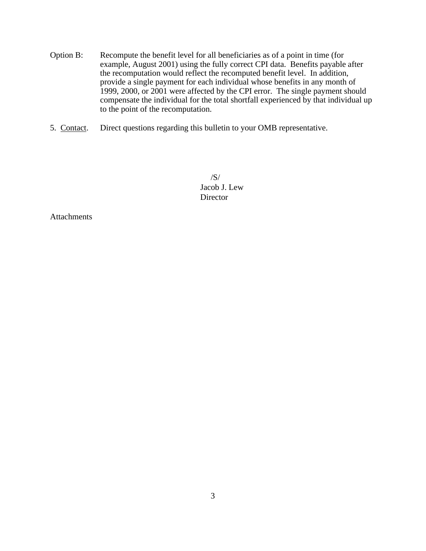- Option B: Recompute the benefit level for all beneficiaries as of a point in time (for example, August 2001) using the fully correct CPI data. Benefits payable after the recomputation would reflect the recomputed benefit level. In addition, provide a single payment for each individual whose benefits in any month of 1999, 2000, or 2001 were affected by the CPI error. The single payment should compensate the individual for the total shortfall experienced by that individual up to the point of the recomputation.
- 5. Contact. Direct questions regarding this bulletin to your OMB representative.

 /S/ Jacob J. Lew Director

**Attachments**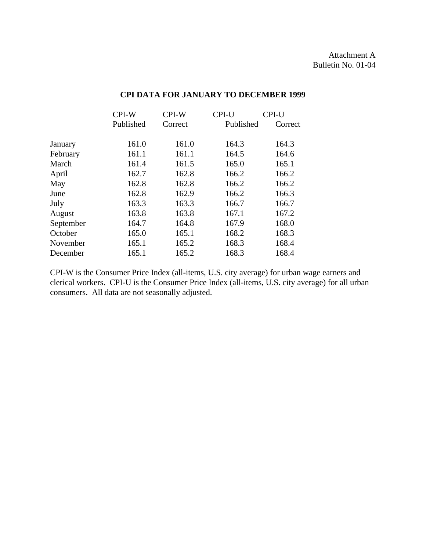|           | CPI-W     | CPI-W   | CPI-U     | CPI-U   |
|-----------|-----------|---------|-----------|---------|
|           | Published | Correct | Published | Correct |
|           |           |         |           |         |
| January   | 161.0     | 161.0   | 164.3     | 164.3   |
| February  | 161.1     | 161.1   | 164.5     | 164.6   |
| March     | 161.4     | 161.5   | 165.0     | 165.1   |
| April     | 162.7     | 162.8   | 166.2     | 166.2   |
| May       | 162.8     | 162.8   | 166.2     | 166.2   |
| June      | 162.8     | 162.9   | 166.2     | 166.3   |
| July      | 163.3     | 163.3   | 166.7     | 166.7   |
| August    | 163.8     | 163.8   | 167.1     | 167.2   |
| September | 164.7     | 164.8   | 167.9     | 168.0   |
| October   | 165.0     | 165.1   | 168.2     | 168.3   |
| November  | 165.1     | 165.2   | 168.3     | 168.4   |
| December  | 165.1     | 165.2   | 168.3     | 168.4   |

## **CPI DATA FOR JANUARY TO DECEMBER 1999**

CPI-W is the Consumer Price Index (all-items, U.S. city average) for urban wage earners and clerical workers. CPI-U is the Consumer Price Index (all-items, U.S. city average) for all urban consumers. All data are not seasonally adjusted.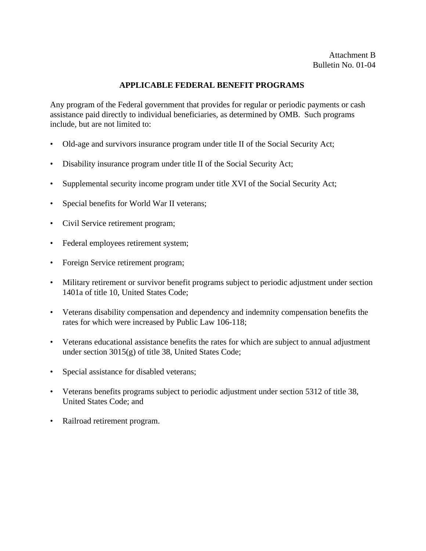### **APPLICABLE FEDERAL BENEFIT PROGRAMS**

Any program of the Federal government that provides for regular or periodic payments or cash assistance paid directly to individual beneficiaries, as determined by OMB. Such programs include, but are not limited to:

- Old-age and survivors insurance program under title II of the Social Security Act;
- Disability insurance program under title II of the Social Security Act;
- Supplemental security income program under title XVI of the Social Security Act;
- Special benefits for World War II veterans;
- Civil Service retirement program;
- Federal employees retirement system;
- Foreign Service retirement program;
- Military retirement or survivor benefit programs subject to periodic adjustment under section 1401a of title 10, United States Code;
- Veterans disability compensation and dependency and indemnity compensation benefits the rates for which were increased by Public Law 106-118;
- Veterans educational assistance benefits the rates for which are subject to annual adjustment under section 3015(g) of title 38, United States Code;
- Special assistance for disabled veterans;
- Veterans benefits programs subject to periodic adjustment under section 5312 of title 38, United States Code; and
- Railroad retirement program.